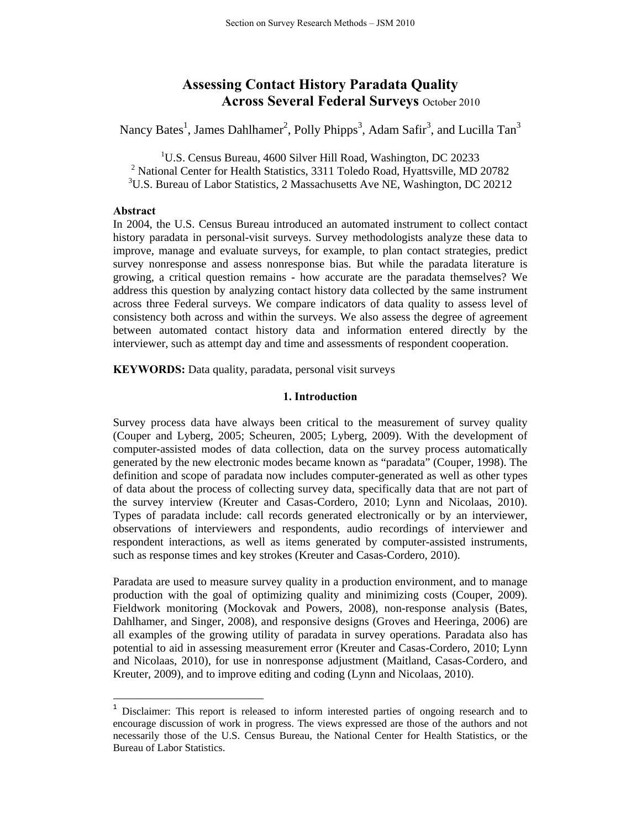# **Assessing Contact History Paradata Quality Across Several Federal Surveys** October 2010

Nancy Bates<sup>1</sup>, James Dahlhamer<sup>2</sup>, Polly Phipps<sup>3</sup>, Adam Safir<sup>3</sup>, and Lucilla Tan<sup>3</sup>

<sup>1</sup>U.S. Census Bureau, 4600 Silver Hill Road, Washington, DC 20233 <sup>2</sup> National Center for Health Statistics, 3311 Toledo Road, Hyattsville, MD 20782 <sup>3</sup>U.S. Bureau of Labor Statistics, 2 Massachusetts Ave NE, Washington, DC 20212

### **Abstract**

In 2004, the U.S. Census Bureau introduced an automated instrument to collect contact history paradata in personal-visit surveys. Survey methodologists analyze these data to improve, manage and evaluate surveys, for example, to plan contact strategies, predict survey nonresponse and assess nonresponse bias. But while the paradata literature is growing, a critical question remains - how accurate are the paradata themselves? We address this question by analyzing contact history data collected by the same instrument across three Federal surveys. We compare indicators of data quality to assess level of consistency both across and within the surveys. We also assess the degree of agreement between automated contact history data and information entered directly by the interviewer, such as attempt day and time and assessments of respondent cooperation.

**KEYWORDS:** Data quality, paradata, personal visit surveys

# **1. Introduction**

Survey process data have always been critical to the measurement of survey quality (Couper and Lyberg, 2005; Scheuren, 2005; Lyberg, 2009). With the development of computer-assisted modes of data collection, data on the survey process automatically generated by the new electronic modes became known as "paradata" (Couper, 1998). The definition and scope of paradata now includes computer-generated as well as other types of data about the process of collecting survey data, specifically data that are not part of the survey interview (Kreuter and Casas-Cordero, 2010; Lynn and Nicolaas, 2010). Types of paradata include: call records generated electronically or by an interviewer, observations of interviewers and respondents, audio recordings of interviewer and respondent interactions, as well as items generated by computer-assisted instruments, such as response times and key strokes (Kreuter and Casas-Cordero, 2010).

Paradata are used to measure survey quality in a production environment, and to manage production with the goal of optimizing quality and minimizing costs (Couper, 2009). Fieldwork monitoring (Mockovak and Powers, 2008), non-response analysis (Bates, Dahlhamer, and Singer, 2008), and responsive designs (Groves and Heeringa, 2006) are all examples of the growing utility of paradata in survey operations. Paradata also has potential to aid in assessing measurement error (Kreuter and Casas-Cordero, 2010; Lynn and Nicolaas, 2010), for use in nonresponse adjustment (Maitland, Casas-Cordero, and Kreuter, 2009), and to improve editing and coding (Lynn and Nicolaas, 2010).

<sup>&</sup>lt;sup>1</sup> Disclaimer: This report is released to inform interested parties of ongoing research and to encourage discussion of work in progress. The views expressed are those of the authors and not necessarily those of the U.S. Census Bureau, the National Center for Health Statistics, or the Bureau of Labor Statistics.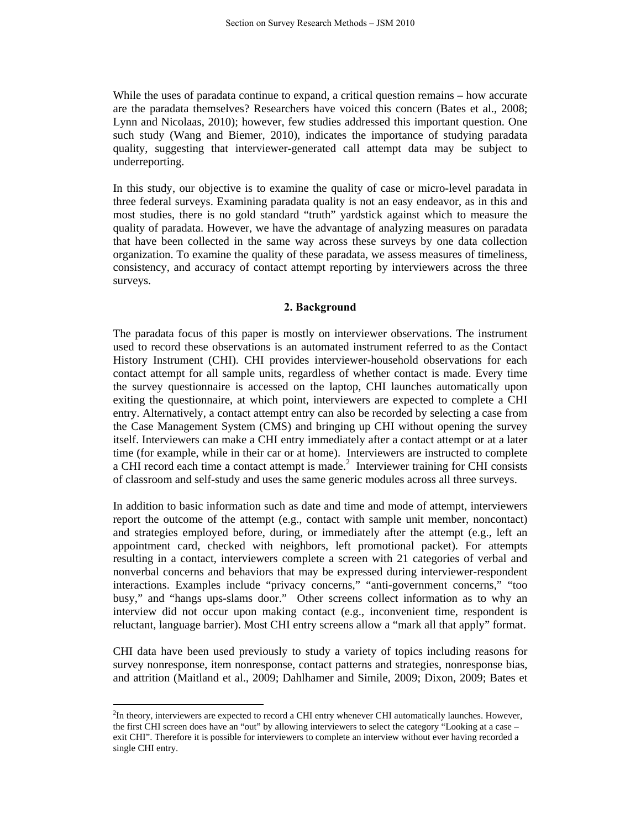While the uses of paradata continue to expand, a critical question remains – how accurate are the paradata themselves? Researchers have voiced this concern (Bates et al., 2008; Lynn and Nicolaas, 2010); however, few studies addressed this important question. One such study (Wang and Biemer, 2010), indicates the importance of studying paradata quality, suggesting that interviewer-generated call attempt data may be subject to underreporting.

In this study, our objective is to examine the quality of case or micro-level paradata in three federal surveys. Examining paradata quality is not an easy endeavor, as in this and most studies, there is no gold standard "truth" yardstick against which to measure the quality of paradata. However, we have the advantage of analyzing measures on paradata that have been collected in the same way across these surveys by one data collection organization. To examine the quality of these paradata, we assess measures of timeliness, consistency, and accuracy of contact attempt reporting by interviewers across the three surveys.

#### **2. Background**

The paradata focus of this paper is mostly on interviewer observations. The instrument used to record these observations is an automated instrument referred to as the Contact History Instrument (CHI). CHI provides interviewer-household observations for each contact attempt for all sample units, regardless of whether contact is made. Every time the survey questionnaire is accessed on the laptop, CHI launches automatically upon exiting the questionnaire, at which point, interviewers are expected to complete a CHI entry. Alternatively, a contact attempt entry can also be recorded by selecting a case from the Case Management System (CMS) and bringing up CHI without opening the survey itself. Interviewers can make a CHI entry immediately after a contact attempt or at a later time (for example, while in their car or at home). Interviewers are instructed to complete a CHI record each time a contact attempt is made. $<sup>2</sup>$  Interviewer training for CHI consists</sup> of classroom and self-study and uses the same generic modules across all three surveys.

In addition to basic information such as date and time and mode of attempt, interviewers report the outcome of the attempt (e.g., contact with sample unit member, noncontact) and strategies employed before, during, or immediately after the attempt (e.g., left an appointment card, checked with neighbors, left promotional packet). For attempts resulting in a contact, interviewers complete a screen with 21 categories of verbal and nonverbal concerns and behaviors that may be expressed during interviewer-respondent interactions. Examples include "privacy concerns," "anti-government concerns," "too busy," and "hangs ups-slams door." Other screens collect information as to why an interview did not occur upon making contact (e.g., inconvenient time, respondent is reluctant, language barrier). Most CHI entry screens allow a "mark all that apply" format.

CHI data have been used previously to study a variety of topics including reasons for survey nonresponse, item nonresponse, contact patterns and strategies, nonresponse bias, and attrition (Maitland et al., 2009; Dahlhamer and Simile, 2009; Dixon, 2009; Bates et

<sup>&</sup>lt;sup>2</sup>In theory, interviewers are expected to record a CHI entry whenever CHI automatically launches. However, the first CHI screen does have an "out" by allowing interviewers to select the category "Looking at a case – exit CHI". Therefore it is possible for interviewers to complete an interview without ever having recorded a single CHI entry.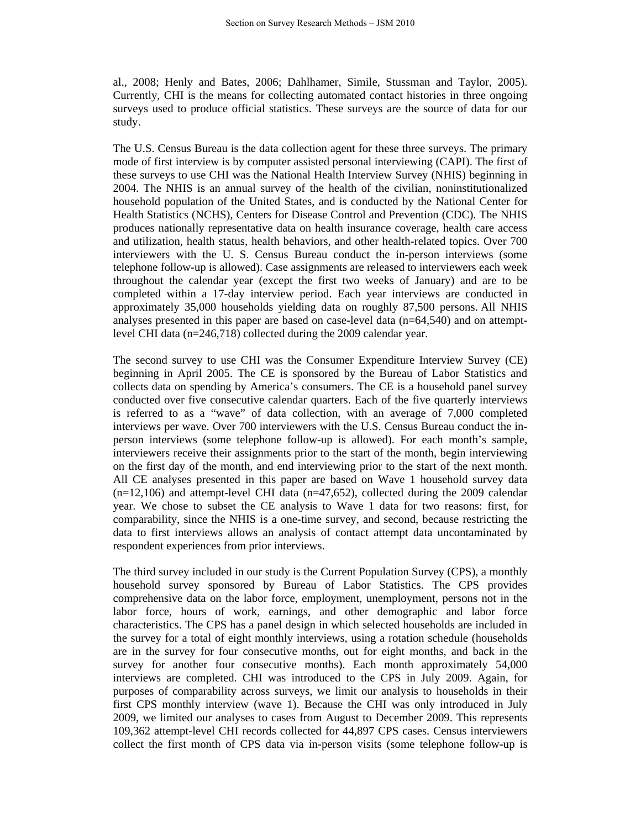al., 2008; Henly and Bates, 2006; Dahlhamer, Simile, Stussman and Taylor, 2005). Currently, CHI is the means for collecting automated contact histories in three ongoing surveys used to produce official statistics. These surveys are the source of data for our study.

The U.S. Census Bureau is the data collection agent for these three surveys. The primary mode of first interview is by computer assisted personal interviewing (CAPI). The first of these surveys to use CHI was the National Health Interview Survey (NHIS) beginning in 2004. The NHIS is an annual survey of the health of the civilian, noninstitutionalized household population of the United States, and is conducted by the National Center for Health Statistics (NCHS), Centers for Disease Control and Prevention (CDC). The NHIS produces nationally representative data on health insurance coverage, health care access and utilization, health status, health behaviors, and other health-related topics. Over 700 interviewers with the U. S. Census Bureau conduct the in-person interviews (some telephone follow-up is allowed). Case assignments are released to interviewers each week throughout the calendar year (except the first two weeks of January) and are to be completed within a 17-day interview period. Each year interviews are conducted in approximately 35,000 households yielding data on roughly 87,500 persons. All NHIS analyses presented in this paper are based on case-level data (n=64,540) and on attemptlevel CHI data (n=246,718) collected during the 2009 calendar year.

The second survey to use CHI was the Consumer Expenditure Interview Survey (CE) beginning in April 2005. The CE is sponsored by the Bureau of Labor Statistics and collects data on spending by America's consumers. The CE is a household panel survey conducted over five consecutive calendar quarters. Each of the five quarterly interviews is referred to as a "wave" of data collection, with an average of 7,000 completed interviews per wave. Over 700 interviewers with the U.S. Census Bureau conduct the inperson interviews (some telephone follow-up is allowed). For each month's sample, interviewers receive their assignments prior to the start of the month, begin interviewing on the first day of the month, and end interviewing prior to the start of the next month. All CE analyses presented in this paper are based on Wave 1 household survey data  $(n=12,106)$  and attempt-level CHI data  $(n=47,652)$ , collected during the 2009 calendar year. We chose to subset the CE analysis to Wave 1 data for two reasons: first, for comparability, since the NHIS is a one-time survey, and second, because restricting the data to first interviews allows an analysis of contact attempt data uncontaminated by respondent experiences from prior interviews.

The third survey included in our study is the Current Population Survey (CPS), a monthly household survey sponsored by Bureau of Labor Statistics. The CPS provides comprehensive data on the labor force, employment, unemployment, persons not in the labor force, hours of work, earnings, and other demographic and labor force characteristics. The CPS has a panel design in which selected households are included in the survey for a total of eight monthly interviews, using a rotation schedule (households are in the survey for four consecutive months, out for eight months, and back in the survey for another four consecutive months). Each month approximately 54,000 interviews are completed. CHI was introduced to the CPS in July 2009. Again, for purposes of comparability across surveys, we limit our analysis to households in their first CPS monthly interview (wave 1). Because the CHI was only introduced in July 2009, we limited our analyses to cases from August to December 2009. This represents 109,362 attempt-level CHI records collected for 44,897 CPS cases. Census interviewers collect the first month of CPS data via in-person visits (some telephone follow-up is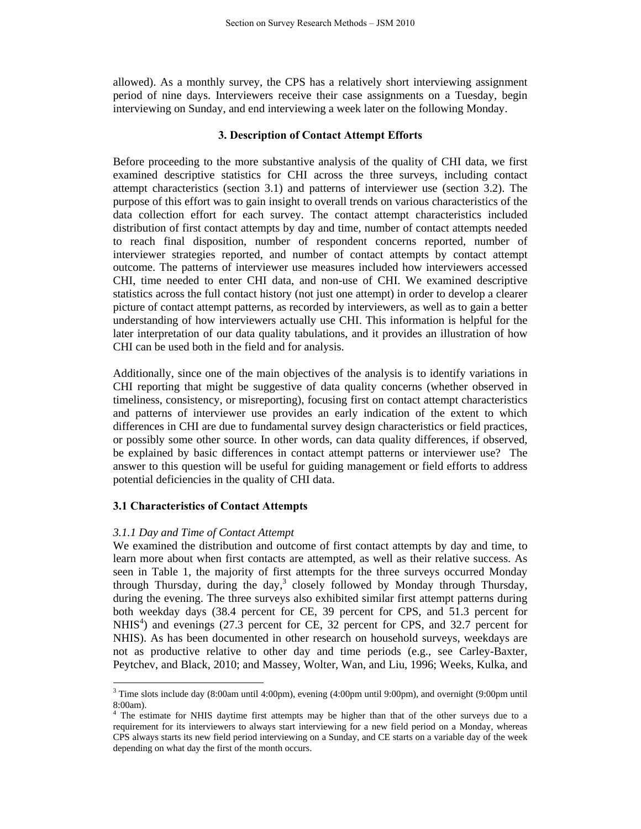allowed). As a monthly survey, the CPS has a relatively short interviewing assignment period of nine days. Interviewers receive their case assignments on a Tuesday, begin interviewing on Sunday, and end interviewing a week later on the following Monday.

### **3. Description of Contact Attempt Efforts**

Before proceeding to the more substantive analysis of the quality of CHI data, we first examined descriptive statistics for CHI across the three surveys, including contact attempt characteristics (section 3.1) and patterns of interviewer use (section 3.2). The purpose of this effort was to gain insight to overall trends on various characteristics of the data collection effort for each survey. The contact attempt characteristics included distribution of first contact attempts by day and time, number of contact attempts needed to reach final disposition, number of respondent concerns reported, number of interviewer strategies reported, and number of contact attempts by contact attempt outcome. The patterns of interviewer use measures included how interviewers accessed CHI, time needed to enter CHI data, and non-use of CHI. We examined descriptive statistics across the full contact history (not just one attempt) in order to develop a clearer picture of contact attempt patterns, as recorded by interviewers, as well as to gain a better understanding of how interviewers actually use CHI. This information is helpful for the later interpretation of our data quality tabulations, and it provides an illustration of how CHI can be used both in the field and for analysis.

Additionally, since one of the main objectives of the analysis is to identify variations in CHI reporting that might be suggestive of data quality concerns (whether observed in timeliness, consistency, or misreporting), focusing first on contact attempt characteristics and patterns of interviewer use provides an early indication of the extent to which differences in CHI are due to fundamental survey design characteristics or field practices, or possibly some other source. In other words, can data quality differences, if observed, be explained by basic differences in contact attempt patterns or interviewer use? The answer to this question will be useful for guiding management or field efforts to address potential deficiencies in the quality of CHI data.

#### **3.1 Characteristics of Contact Attempts**

#### *3.1.1 Day and Time of Contact Attempt*

We examined the distribution and outcome of first contact attempts by day and time, to learn more about when first contacts are attempted, as well as their relative success. As seen in Table 1, the majority of first attempts for the three surveys occurred Monday through Thursday, during the day,<sup>3</sup> closely followed by Monday through Thursday, during the evening. The three surveys also exhibited similar first attempt patterns during both weekday days (38.4 percent for CE, 39 percent for CPS, and 51.3 percent for NHIS<sup>4</sup>) and evenings  $(27.3)$  percent for CE, 32 percent for CPS, and 32.7 percent for NHIS). As has been documented in other research on household surveys, weekdays are not as productive relative to other day and time periods (e.g., see Carley-Baxter, Peytchev, and Black, 2010; and Massey, Wolter, Wan, and Liu, 1996; Weeks, Kulka, and

<sup>3</sup> Time slots include day (8:00am until 4:00pm), evening (4:00pm until 9:00pm), and overnight (9:00pm until  $8:00$ am).

The estimate for NHIS daytime first attempts may be higher than that of the other surveys due to a requirement for its interviewers to always start interviewing for a new field period on a Monday, whereas CPS always starts its new field period interviewing on a Sunday, and CE starts on a variable day of the week depending on what day the first of the month occurs.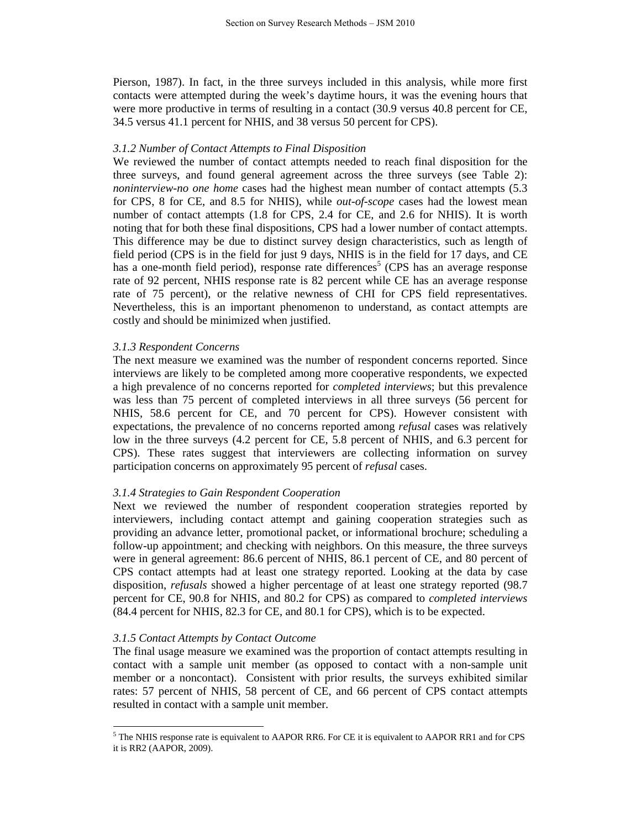Pierson, 1987). In fact, in the three surveys included in this analysis, while more first contacts were attempted during the week's daytime hours, it was the evening hours that were more productive in terms of resulting in a contact (30.9 versus 40.8 percent for CE, 34.5 versus 41.1 percent for NHIS, and 38 versus 50 percent for CPS).

#### *3.1.2 Number of Contact Attempts to Final Disposition*

We reviewed the number of contact attempts needed to reach final disposition for the three surveys, and found general agreement across the three surveys (see Table 2): *noninterview-no one home* cases had the highest mean number of contact attempts (5.3 for CPS, 8 for CE, and 8.5 for NHIS), while *out-of-scope* cases had the lowest mean number of contact attempts (1.8 for CPS, 2.4 for CE, and 2.6 for NHIS). It is worth noting that for both these final dispositions, CPS had a lower number of contact attempts. This difference may be due to distinct survey design characteristics, such as length of field period (CPS is in the field for just 9 days, NHIS is in the field for 17 days, and CE has a one-month field period), response rate differences<sup>5</sup> (CPS has an average response rate of 92 percent, NHIS response rate is 82 percent while CE has an average response rate of 75 percent), or the relative newness of CHI for CPS field representatives. Nevertheless, this is an important phenomenon to understand, as contact attempts are costly and should be minimized when justified.

#### *3.1.3 Respondent Concerns*

The next measure we examined was the number of respondent concerns reported. Since interviews are likely to be completed among more cooperative respondents, we expected a high prevalence of no concerns reported for *completed interviews*; but this prevalence was less than 75 percent of completed interviews in all three surveys (56 percent for NHIS, 58.6 percent for CE, and 70 percent for CPS). However consistent with expectations, the prevalence of no concerns reported among *refusal* cases was relatively low in the three surveys (4.2 percent for CE, 5.8 percent of NHIS, and 6.3 percent for CPS). These rates suggest that interviewers are collecting information on survey participation concerns on approximately 95 percent of *refusal* cases.

### *3.1.4 Strategies to Gain Respondent Cooperation*

Next we reviewed the number of respondent cooperation strategies reported by interviewers, including contact attempt and gaining cooperation strategies such as providing an advance letter, promotional packet, or informational brochure; scheduling a follow-up appointment; and checking with neighbors. On this measure, the three surveys were in general agreement: 86.6 percent of NHIS, 86.1 percent of CE, and 80 percent of CPS contact attempts had at least one strategy reported. Looking at the data by case disposition, *refusals* showed a higher percentage of at least one strategy reported (98.7 percent for CE, 90.8 for NHIS, and 80.2 for CPS) as compared to *completed interviews* (84.4 percent for NHIS, 82.3 for CE, and 80.1 for CPS), which is to be expected.

### *3.1.5 Contact Attempts by Contact Outcome*

The final usage measure we examined was the proportion of contact attempts resulting in contact with a sample unit member (as opposed to contact with a non-sample unit member or a noncontact). Consistent with prior results, the surveys exhibited similar rates: 57 percent of NHIS, 58 percent of CE, and 66 percent of CPS contact attempts resulted in contact with a sample unit member.

<sup>&</sup>lt;sup>5</sup> The NHIS response rate is equivalent to AAPOR RR6. For CE it is equivalent to AAPOR RR1 and for CPS it is RR2 (AAPOR, 2009).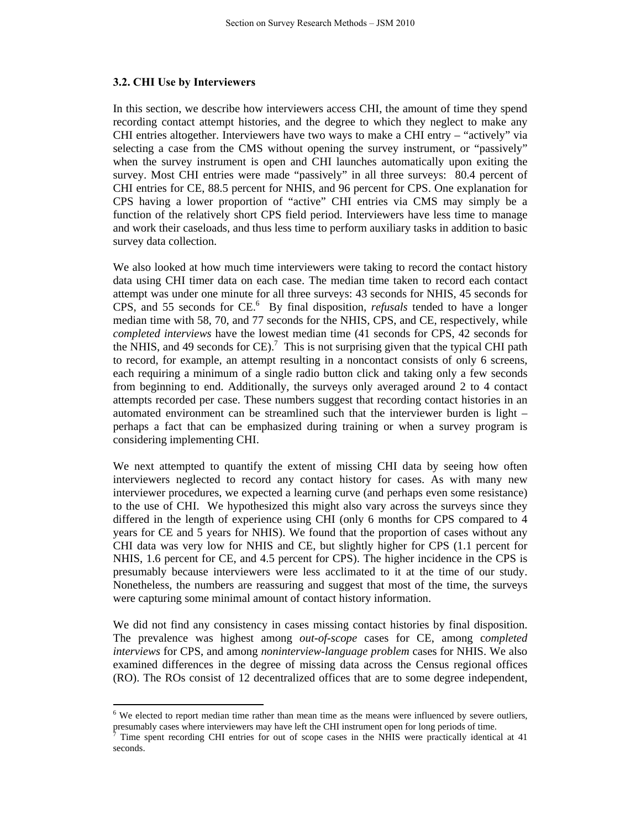#### **3.2. CHI Use by Interviewers**

In this section, we describe how interviewers access CHI, the amount of time they spend recording contact attempt histories, and the degree to which they neglect to make any CHI entries altogether. Interviewers have two ways to make a CHI entry – "actively" via selecting a case from the CMS without opening the survey instrument, or "passively" when the survey instrument is open and CHI launches automatically upon exiting the survey. Most CHI entries were made "passively" in all three surveys: 80.4 percent of CHI entries for CE, 88.5 percent for NHIS, and 96 percent for CPS. One explanation for CPS having a lower proportion of "active" CHI entries via CMS may simply be a function of the relatively short CPS field period. Interviewers have less time to manage and work their caseloads, and thus less time to perform auxiliary tasks in addition to basic survey data collection.

We also looked at how much time interviewers were taking to record the contact history data using CHI timer data on each case. The median time taken to record each contact attempt was under one minute for all three surveys: 43 seconds for NHIS, 45 seconds for CPS, and 55 seconds for CE.<sup>6</sup> By final disposition, *refusals* tended to have a longer median time with 58, 70, and 77 seconds for the NHIS, CPS, and CE, respectively, while *completed interviews* have the lowest median time (41 seconds for CPS, 42 seconds for the NHIS, and 49 seconds for CE).<sup>7</sup> This is not surprising given that the typical CHI path to record, for example, an attempt resulting in a noncontact consists of only 6 screens, each requiring a minimum of a single radio button click and taking only a few seconds from beginning to end. Additionally, the surveys only averaged around 2 to 4 contact attempts recorded per case. These numbers suggest that recording contact histories in an automated environment can be streamlined such that the interviewer burden is light – perhaps a fact that can be emphasized during training or when a survey program is considering implementing CHI.

We next attempted to quantify the extent of missing CHI data by seeing how often interviewers neglected to record any contact history for cases. As with many new interviewer procedures, we expected a learning curve (and perhaps even some resistance) to the use of CHI. We hypothesized this might also vary across the surveys since they differed in the length of experience using CHI (only 6 months for CPS compared to 4 years for CE and 5 years for NHIS). We found that the proportion of cases without any CHI data was very low for NHIS and CE, but slightly higher for CPS (1.1 percent for NHIS, 1.6 percent for CE, and 4.5 percent for CPS). The higher incidence in the CPS is presumably because interviewers were less acclimated to it at the time of our study. Nonetheless, the numbers are reassuring and suggest that most of the time, the surveys were capturing some minimal amount of contact history information.

We did not find any consistency in cases missing contact histories by final disposition. The prevalence was highest among *out-of-scope* cases for CE, among c*ompleted interviews* for CPS, and among *noninterview-language problem* cases for NHIS. We also examined differences in the degree of missing data across the Census regional offices (RO). The ROs consist of 12 decentralized offices that are to some degree independent,

 $6$  We elected to report median time rather than mean time as the means were influenced by severe outliers, presumably cases where interviewers may have left the CHI instrument open for long periods of time. 7

Time spent recording CHI entries for out of scope cases in the NHIS were practically identical at 41 seconds.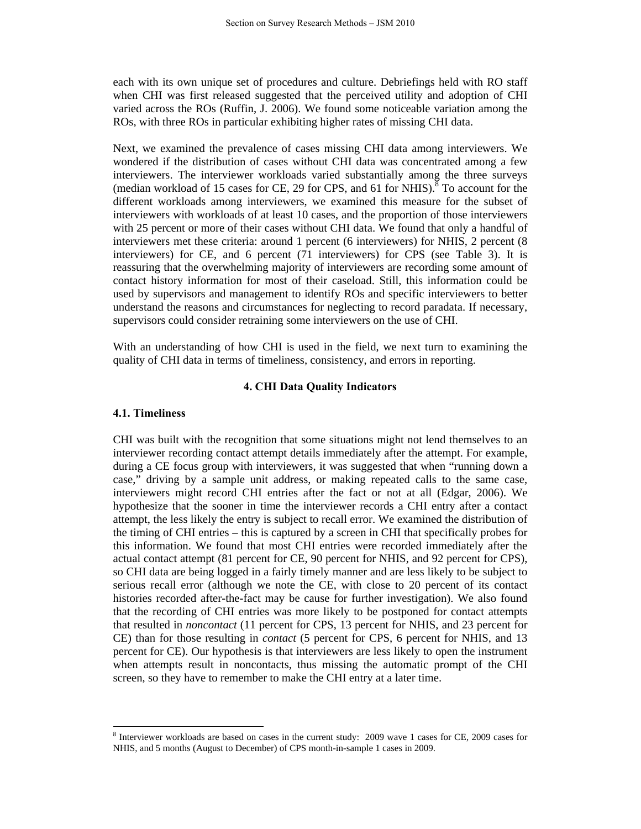each with its own unique set of procedures and culture. Debriefings held with RO staff when CHI was first released suggested that the perceived utility and adoption of CHI varied across the ROs (Ruffin, J. 2006). We found some noticeable variation among the ROs, with three ROs in particular exhibiting higher rates of missing CHI data.

Next, we examined the prevalence of cases missing CHI data among interviewers. We wondered if the distribution of cases without CHI data was concentrated among a few interviewers. The interviewer workloads varied substantially among the three surveys (median workload of 15 cases for CE, 29 for CPS, and 61 for NHIS).<sup>8</sup> To account for the different workloads among interviewers, we examined this measure for the subset of interviewers with workloads of at least 10 cases, and the proportion of those interviewers with 25 percent or more of their cases without CHI data. We found that only a handful of interviewers met these criteria: around 1 percent (6 interviewers) for NHIS, 2 percent (8 interviewers) for CE, and 6 percent (71 interviewers) for CPS (see Table 3). It is reassuring that the overwhelming majority of interviewers are recording some amount of contact history information for most of their caseload. Still, this information could be used by supervisors and management to identify ROs and specific interviewers to better understand the reasons and circumstances for neglecting to record paradata. If necessary, supervisors could consider retraining some interviewers on the use of CHI.

With an understanding of how CHI is used in the field, we next turn to examining the quality of CHI data in terms of timeliness, consistency, and errors in reporting.

### **4. CHI Data Quality Indicators**

#### **4.1. Timeliness**

CHI was built with the recognition that some situations might not lend themselves to an interviewer recording contact attempt details immediately after the attempt. For example, during a CE focus group with interviewers, it was suggested that when "running down a case," driving by a sample unit address, or making repeated calls to the same case, interviewers might record CHI entries after the fact or not at all (Edgar, 2006). We hypothesize that the sooner in time the interviewer records a CHI entry after a contact attempt, the less likely the entry is subject to recall error. We examined the distribution of the timing of CHI entries – this is captured by a screen in CHI that specifically probes for this information. We found that most CHI entries were recorded immediately after the actual contact attempt (81 percent for CE, 90 percent for NHIS, and 92 percent for CPS), so CHI data are being logged in a fairly timely manner and are less likely to be subject to serious recall error (although we note the CE, with close to 20 percent of its contact histories recorded after-the-fact may be cause for further investigation). We also found that the recording of CHI entries was more likely to be postponed for contact attempts that resulted in *noncontact* (11 percent for CPS, 13 percent for NHIS, and 23 percent for CE) than for those resulting in *contact* (5 percent for CPS, 6 percent for NHIS, and 13 percent for CE). Our hypothesis is that interviewers are less likely to open the instrument when attempts result in noncontacts, thus missing the automatic prompt of the CHI screen, so they have to remember to make the CHI entry at a later time.

<sup>&</sup>lt;sup>8</sup> Interviewer workloads are based on cases in the current study: 2009 wave 1 cases for CE, 2009 cases for NHIS, and 5 months (August to December) of CPS month-in-sample 1 cases in 2009.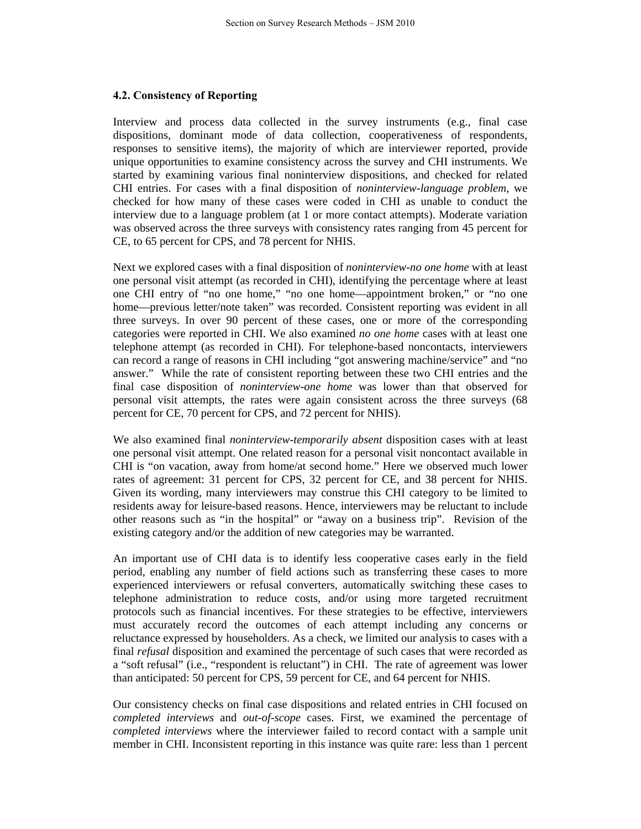# **4.2. Consistency of Reporting**

Interview and process data collected in the survey instruments (e.g., final case dispositions, dominant mode of data collection, cooperativeness of respondents, responses to sensitive items), the majority of which are interviewer reported, provide unique opportunities to examine consistency across the survey and CHI instruments. We started by examining various final noninterview dispositions, and checked for related CHI entries. For cases with a final disposition of *noninterview-language problem*, we checked for how many of these cases were coded in CHI as unable to conduct the interview due to a language problem (at 1 or more contact attempts). Moderate variation was observed across the three surveys with consistency rates ranging from 45 percent for CE, to 65 percent for CPS, and 78 percent for NHIS.

Next we explored cases with a final disposition of *noninterview-no one home* with at least one personal visit attempt (as recorded in CHI), identifying the percentage where at least one CHI entry of "no one home," "no one home—appointment broken," or "no one home—previous letter/note taken" was recorded. Consistent reporting was evident in all three surveys. In over 90 percent of these cases, one or more of the corresponding categories were reported in CHI. We also examined *no one home* cases with at least one telephone attempt (as recorded in CHI). For telephone-based noncontacts, interviewers can record a range of reasons in CHI including "got answering machine/service" and "no answer." While the rate of consistent reporting between these two CHI entries and the final case disposition of *noninterview-one home* was lower than that observed for personal visit attempts, the rates were again consistent across the three surveys (68 percent for CE, 70 percent for CPS, and 72 percent for NHIS).

We also examined final *noninterview-temporarily absent* disposition cases with at least one personal visit attempt. One related reason for a personal visit noncontact available in CHI is "on vacation, away from home/at second home." Here we observed much lower rates of agreement: 31 percent for CPS, 32 percent for CE, and 38 percent for NHIS. Given its wording, many interviewers may construe this CHI category to be limited to residents away for leisure-based reasons. Hence, interviewers may be reluctant to include other reasons such as "in the hospital" or "away on a business trip". Revision of the existing category and/or the addition of new categories may be warranted.

An important use of CHI data is to identify less cooperative cases early in the field period, enabling any number of field actions such as transferring these cases to more experienced interviewers or refusal converters, automatically switching these cases to telephone administration to reduce costs, and/or using more targeted recruitment protocols such as financial incentives. For these strategies to be effective, interviewers must accurately record the outcomes of each attempt including any concerns or reluctance expressed by householders. As a check, we limited our analysis to cases with a final *refusal* disposition and examined the percentage of such cases that were recorded as a "soft refusal" (i.e., "respondent is reluctant") in CHI. The rate of agreement was lower than anticipated: 50 percent for CPS, 59 percent for CE, and 64 percent for NHIS.

Our consistency checks on final case dispositions and related entries in CHI focused on *completed interviews* and *out-of-scope* cases. First, we examined the percentage of *completed interviews* where the interviewer failed to record contact with a sample unit member in CHI. Inconsistent reporting in this instance was quite rare: less than 1 percent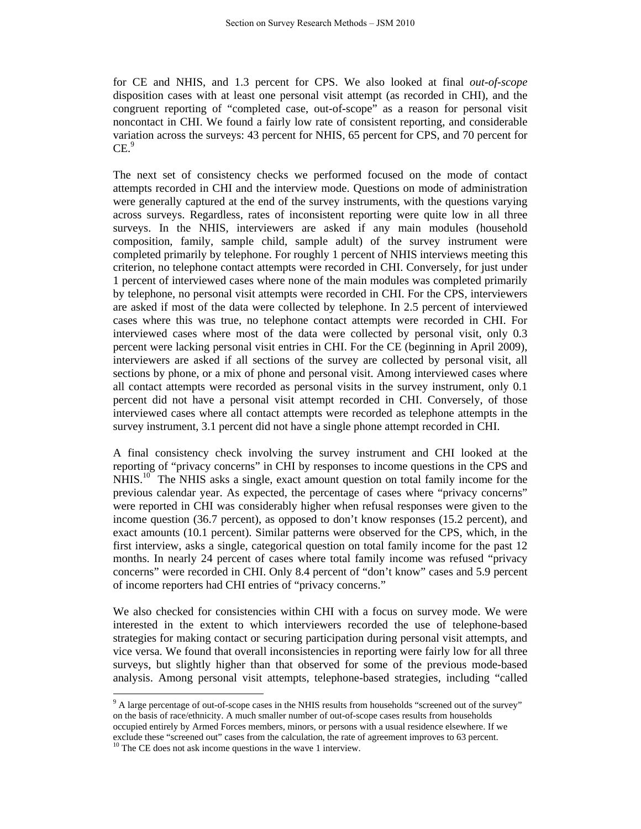for CE and NHIS, and 1.3 percent for CPS. We also looked at final *out-of-scope*  disposition cases with at least one personal visit attempt (as recorded in CHI), and the congruent reporting of "completed case, out-of-scope" as a reason for personal visit noncontact in CHI. We found a fairly low rate of consistent reporting, and considerable variation across the surveys: 43 percent for NHIS, 65 percent for CPS, and 70 percent for  $CE.<sup>9</sup>$ 

The next set of consistency checks we performed focused on the mode of contact attempts recorded in CHI and the interview mode. Questions on mode of administration were generally captured at the end of the survey instruments, with the questions varying across surveys. Regardless, rates of inconsistent reporting were quite low in all three surveys. In the NHIS, interviewers are asked if any main modules (household composition, family, sample child, sample adult) of the survey instrument were completed primarily by telephone. For roughly 1 percent of NHIS interviews meeting this criterion, no telephone contact attempts were recorded in CHI. Conversely, for just under 1 percent of interviewed cases where none of the main modules was completed primarily by telephone, no personal visit attempts were recorded in CHI. For the CPS, interviewers are asked if most of the data were collected by telephone. In 2.5 percent of interviewed cases where this was true, no telephone contact attempts were recorded in CHI. For interviewed cases where most of the data were collected by personal visit, only 0.3 percent were lacking personal visit entries in CHI. For the CE (beginning in April 2009), interviewers are asked if all sections of the survey are collected by personal visit, all sections by phone, or a mix of phone and personal visit. Among interviewed cases where all contact attempts were recorded as personal visits in the survey instrument, only 0.1 percent did not have a personal visit attempt recorded in CHI. Conversely, of those interviewed cases where all contact attempts were recorded as telephone attempts in the survey instrument, 3.1 percent did not have a single phone attempt recorded in CHI.

A final consistency check involving the survey instrument and CHI looked at the reporting of "privacy concerns" in CHI by responses to income questions in the CPS and  $NHIS<sup>10</sup>$ . The NHIS asks a single, exact amount question on total family income for the previous calendar year. As expected, the percentage of cases where "privacy concerns" were reported in CHI was considerably higher when refusal responses were given to the income question (36.7 percent), as opposed to don't know responses (15.2 percent), and exact amounts (10.1 percent). Similar patterns were observed for the CPS, which, in the first interview, asks a single, categorical question on total family income for the past 12 months. In nearly 24 percent of cases where total family income was refused "privacy concerns" were recorded in CHI. Only 8.4 percent of "don't know" cases and 5.9 percent of income reporters had CHI entries of "privacy concerns."

We also checked for consistencies within CHI with a focus on survey mode. We were interested in the extent to which interviewers recorded the use of telephone-based strategies for making contact or securing participation during personal visit attempts, and vice versa. We found that overall inconsistencies in reporting were fairly low for all three surveys, but slightly higher than that observed for some of the previous mode-based analysis. Among personal visit attempts, telephone-based strategies, including "called

<sup>&</sup>lt;sup>9</sup> A large percentage of out-of-scope cases in the NHIS results from households "screened out of the survey" on the basis of race/ethnicity. A much smaller number of out-of-scope cases results from households occupied entirely by Armed Forces members, minors, or persons with a usual residence elsewhere. If we exclude these "screened out" cases from the calculation, the rate of agreement improves to 63 percent. <sup>10</sup> The CE does not ask income questions in the wave 1 interview.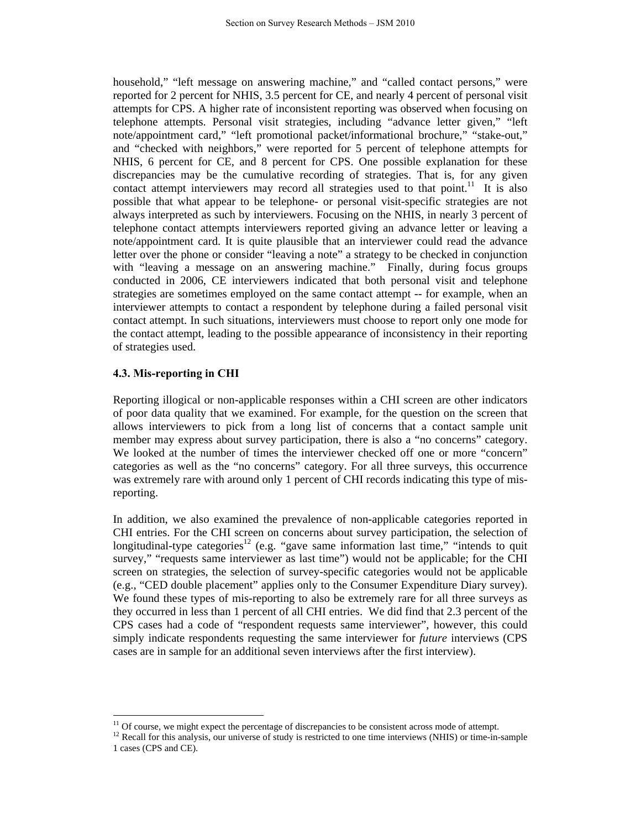household," "left message on answering machine," and "called contact persons," were reported for 2 percent for NHIS, 3.5 percent for CE, and nearly 4 percent of personal visit attempts for CPS. A higher rate of inconsistent reporting was observed when focusing on telephone attempts. Personal visit strategies, including "advance letter given," "left note/appointment card," "left promotional packet/informational brochure," "stake-out," and "checked with neighbors," were reported for 5 percent of telephone attempts for NHIS, 6 percent for CE, and 8 percent for CPS. One possible explanation for these discrepancies may be the cumulative recording of strategies. That is, for any given contact attempt interviewers may record all strategies used to that point.<sup>11</sup> It is also possible that what appear to be telephone- or personal visit-specific strategies are not always interpreted as such by interviewers. Focusing on the NHIS, in nearly 3 percent of telephone contact attempts interviewers reported giving an advance letter or leaving a note/appointment card. It is quite plausible that an interviewer could read the advance letter over the phone or consider "leaving a note" a strategy to be checked in conjunction with "leaving a message on an answering machine." Finally, during focus groups conducted in 2006, CE interviewers indicated that both personal visit and telephone strategies are sometimes employed on the same contact attempt -- for example, when an interviewer attempts to contact a respondent by telephone during a failed personal visit contact attempt. In such situations, interviewers must choose to report only one mode for the contact attempt, leading to the possible appearance of inconsistency in their reporting of strategies used.

# **4.3. Mis-reporting in CHI**

Reporting illogical or non-applicable responses within a CHI screen are other indicators of poor data quality that we examined. For example, for the question on the screen that allows interviewers to pick from a long list of concerns that a contact sample unit member may express about survey participation, there is also a "no concerns" category. We looked at the number of times the interviewer checked off one or more "concern" categories as well as the "no concerns" category. For all three surveys, this occurrence was extremely rare with around only 1 percent of CHI records indicating this type of misreporting.

In addition, we also examined the prevalence of non-applicable categories reported in CHI entries. For the CHI screen on concerns about survey participation, the selection of longitudinal-type categories<sup>12</sup> (e.g. "gave same information last time," "intends to quit survey," "requests same interviewer as last time") would not be applicable; for the CHI screen on strategies, the selection of survey-specific categories would not be applicable (e.g., "CED double placement" applies only to the Consumer Expenditure Diary survey). We found these types of mis-reporting to also be extremely rare for all three surveys as they occurred in less than 1 percent of all CHI entries. We did find that 2.3 percent of the CPS cases had a code of "respondent requests same interviewer", however, this could simply indicate respondents requesting the same interviewer for *future* interviews (CPS cases are in sample for an additional seven interviews after the first interview).

 $11$  Of course, we might expect the percentage of discrepancies to be consistent across mode of attempt.

 $12$  Recall for this analysis, our universe of study is restricted to one time interviews (NHIS) or time-in-sample 1 cases (CPS and CE).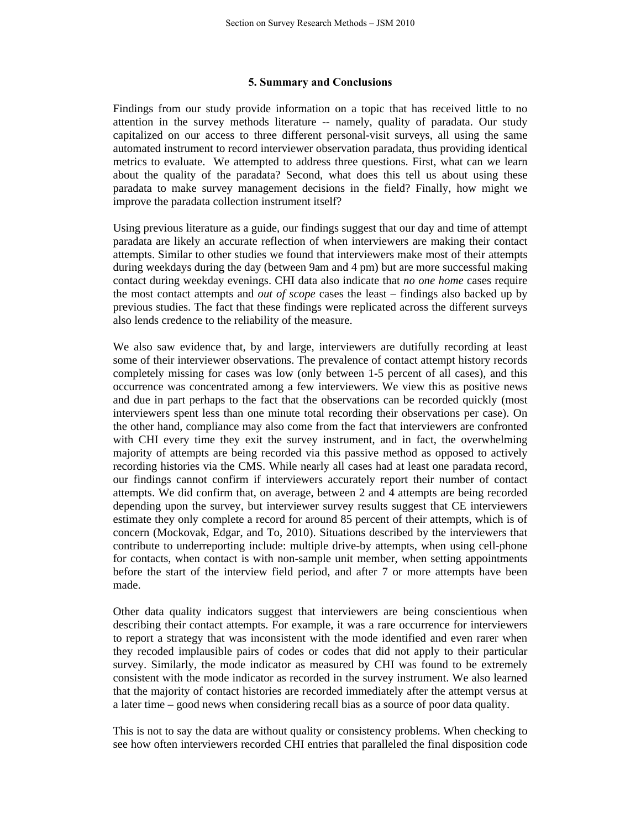### **5. Summary and Conclusions**

Findings from our study provide information on a topic that has received little to no attention in the survey methods literature -- namely, quality of paradata. Our study capitalized on our access to three different personal-visit surveys, all using the same automated instrument to record interviewer observation paradata, thus providing identical metrics to evaluate. We attempted to address three questions. First, what can we learn about the quality of the paradata? Second, what does this tell us about using these paradata to make survey management decisions in the field? Finally, how might we improve the paradata collection instrument itself?

Using previous literature as a guide, our findings suggest that our day and time of attempt paradata are likely an accurate reflection of when interviewers are making their contact attempts. Similar to other studies we found that interviewers make most of their attempts during weekdays during the day (between 9am and 4 pm) but are more successful making contact during weekday evenings. CHI data also indicate that *no one home* cases require the most contact attempts and *out of scope* cases the least – findings also backed up by previous studies. The fact that these findings were replicated across the different surveys also lends credence to the reliability of the measure.

We also saw evidence that, by and large, interviewers are dutifully recording at least some of their interviewer observations. The prevalence of contact attempt history records completely missing for cases was low (only between 1-5 percent of all cases), and this occurrence was concentrated among a few interviewers. We view this as positive news and due in part perhaps to the fact that the observations can be recorded quickly (most interviewers spent less than one minute total recording their observations per case). On the other hand, compliance may also come from the fact that interviewers are confronted with CHI every time they exit the survey instrument, and in fact, the overwhelming majority of attempts are being recorded via this passive method as opposed to actively recording histories via the CMS. While nearly all cases had at least one paradata record, our findings cannot confirm if interviewers accurately report their number of contact attempts. We did confirm that, on average, between 2 and 4 attempts are being recorded depending upon the survey, but interviewer survey results suggest that CE interviewers estimate they only complete a record for around 85 percent of their attempts, which is of concern (Mockovak, Edgar, and To, 2010). Situations described by the interviewers that contribute to underreporting include: multiple drive-by attempts, when using cell-phone for contacts, when contact is with non-sample unit member, when setting appointments before the start of the interview field period, and after 7 or more attempts have been made.

Other data quality indicators suggest that interviewers are being conscientious when describing their contact attempts. For example, it was a rare occurrence for interviewers to report a strategy that was inconsistent with the mode identified and even rarer when they recoded implausible pairs of codes or codes that did not apply to their particular survey. Similarly, the mode indicator as measured by CHI was found to be extremely consistent with the mode indicator as recorded in the survey instrument. We also learned that the majority of contact histories are recorded immediately after the attempt versus at a later time – good news when considering recall bias as a source of poor data quality.

This is not to say the data are without quality or consistency problems. When checking to see how often interviewers recorded CHI entries that paralleled the final disposition code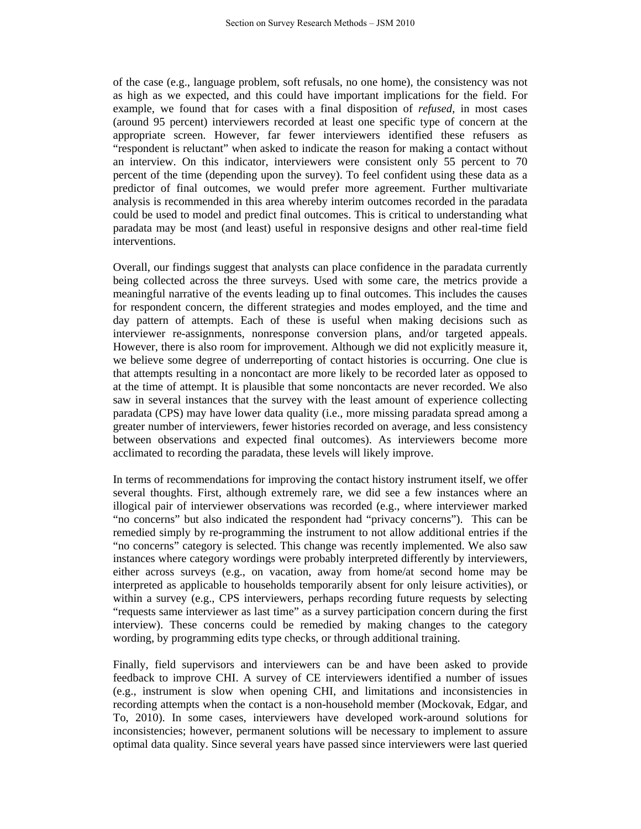of the case (e.g., language problem, soft refusals, no one home), the consistency was not as high as we expected, and this could have important implications for the field. For example, we found that for cases with a final disposition of *refused*, in most cases (around 95 percent) interviewers recorded at least one specific type of concern at the appropriate screen. However, far fewer interviewers identified these refusers as "respondent is reluctant" when asked to indicate the reason for making a contact without an interview. On this indicator, interviewers were consistent only 55 percent to 70 percent of the time (depending upon the survey). To feel confident using these data as a predictor of final outcomes, we would prefer more agreement. Further multivariate analysis is recommended in this area whereby interim outcomes recorded in the paradata could be used to model and predict final outcomes. This is critical to understanding what paradata may be most (and least) useful in responsive designs and other real-time field interventions.

Overall, our findings suggest that analysts can place confidence in the paradata currently being collected across the three surveys. Used with some care, the metrics provide a meaningful narrative of the events leading up to final outcomes. This includes the causes for respondent concern, the different strategies and modes employed, and the time and day pattern of attempts. Each of these is useful when making decisions such as interviewer re-assignments, nonresponse conversion plans, and/or targeted appeals. However, there is also room for improvement. Although we did not explicitly measure it, we believe some degree of underreporting of contact histories is occurring. One clue is that attempts resulting in a noncontact are more likely to be recorded later as opposed to at the time of attempt. It is plausible that some noncontacts are never recorded. We also saw in several instances that the survey with the least amount of experience collecting paradata (CPS) may have lower data quality (i.e., more missing paradata spread among a greater number of interviewers, fewer histories recorded on average, and less consistency between observations and expected final outcomes). As interviewers become more acclimated to recording the paradata, these levels will likely improve.

In terms of recommendations for improving the contact history instrument itself, we offer several thoughts. First, although extremely rare, we did see a few instances where an illogical pair of interviewer observations was recorded (e.g., where interviewer marked "no concerns" but also indicated the respondent had "privacy concerns"). This can be remedied simply by re-programming the instrument to not allow additional entries if the "no concerns" category is selected. This change was recently implemented. We also saw instances where category wordings were probably interpreted differently by interviewers, either across surveys (e.g., on vacation, away from home/at second home may be interpreted as applicable to households temporarily absent for only leisure activities), or within a survey (e.g., CPS interviewers, perhaps recording future requests by selecting "requests same interviewer as last time" as a survey participation concern during the first interview). These concerns could be remedied by making changes to the category wording, by programming edits type checks, or through additional training.

Finally, field supervisors and interviewers can be and have been asked to provide feedback to improve CHI. A survey of CE interviewers identified a number of issues (e.g., instrument is slow when opening CHI, and limitations and inconsistencies in recording attempts when the contact is a non-household member (Mockovak, Edgar, and To, 2010). In some cases, interviewers have developed work-around solutions for inconsistencies; however, permanent solutions will be necessary to implement to assure optimal data quality. Since several years have passed since interviewers were last queried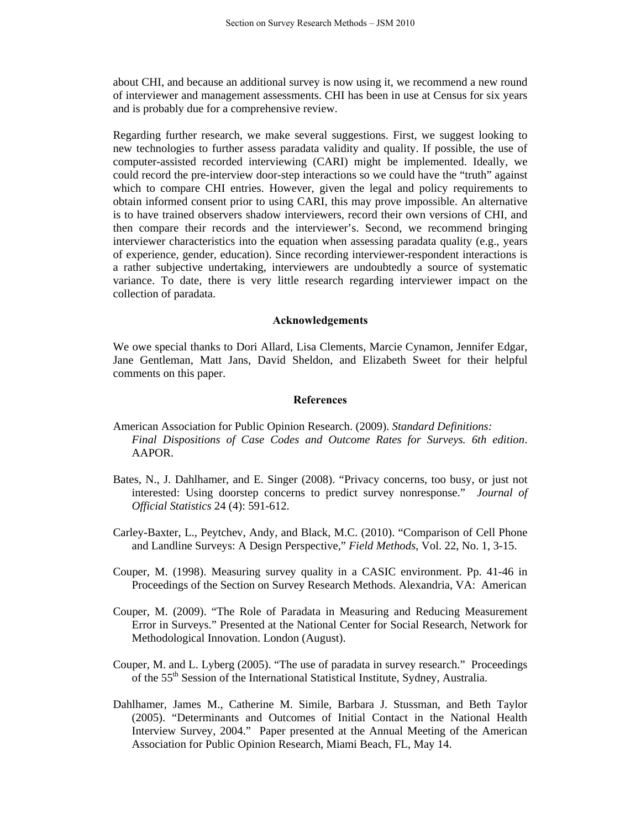about CHI, and because an additional survey is now using it, we recommend a new round of interviewer and management assessments. CHI has been in use at Census for six years and is probably due for a comprehensive review.

Regarding further research, we make several suggestions. First, we suggest looking to new technologies to further assess paradata validity and quality. If possible, the use of computer-assisted recorded interviewing (CARI) might be implemented. Ideally, we could record the pre-interview door-step interactions so we could have the "truth" against which to compare CHI entries. However, given the legal and policy requirements to obtain informed consent prior to using CARI, this may prove impossible. An alternative is to have trained observers shadow interviewers, record their own versions of CHI, and then compare their records and the interviewer's. Second, we recommend bringing interviewer characteristics into the equation when assessing paradata quality (e.g., years of experience, gender, education). Since recording interviewer-respondent interactions is a rather subjective undertaking, interviewers are undoubtedly a source of systematic variance. To date, there is very little research regarding interviewer impact on the collection of paradata.

#### **Acknowledgements**

We owe special thanks to Dori Allard, Lisa Clements, Marcie Cynamon, Jennifer Edgar, Jane Gentleman, Matt Jans, David Sheldon, and Elizabeth Sweet for their helpful comments on this paper.

## **References**

- American Association for Public Opinion Research. (2009). *Standard Definitions: Final Dispositions of Case Codes and Outcome Rates for Surveys. 6th edition*. AAPOR.
- Bates, N., J. Dahlhamer, and E. Singer (2008). "Privacy concerns, too busy, or just not interested: Using doorstep concerns to predict survey nonresponse." *Journal of Official Statistics* 24 (4): 591-612.
- Carley-Baxter, L., Peytchev, Andy, and Black, M.C. (2010). "Comparison of Cell Phone and Landline Surveys: A Design Perspective," *Field Methods*, Vol. 22, No. 1, 3-15.
- Couper, M. (1998). Measuring survey quality in a CASIC environment. Pp. 41-46 in Proceedings of the Section on Survey Research Methods. Alexandria, VA: American
- Couper, M. (2009). "The Role of Paradata in Measuring and Reducing Measurement Error in Surveys." Presented at the National Center for Social Research, Network for Methodological Innovation. London (August).
- Couper, M. and L. Lyberg (2005). "The use of paradata in survey research." Proceedings of the 55th Session of the International Statistical Institute, Sydney, Australia.
- Dahlhamer, James M., Catherine M. Simile, Barbara J. Stussman, and Beth Taylor (2005). "Determinants and Outcomes of Initial Contact in the National Health Interview Survey, 2004." Paper presented at the Annual Meeting of the American Association for Public Opinion Research, Miami Beach, FL, May 14.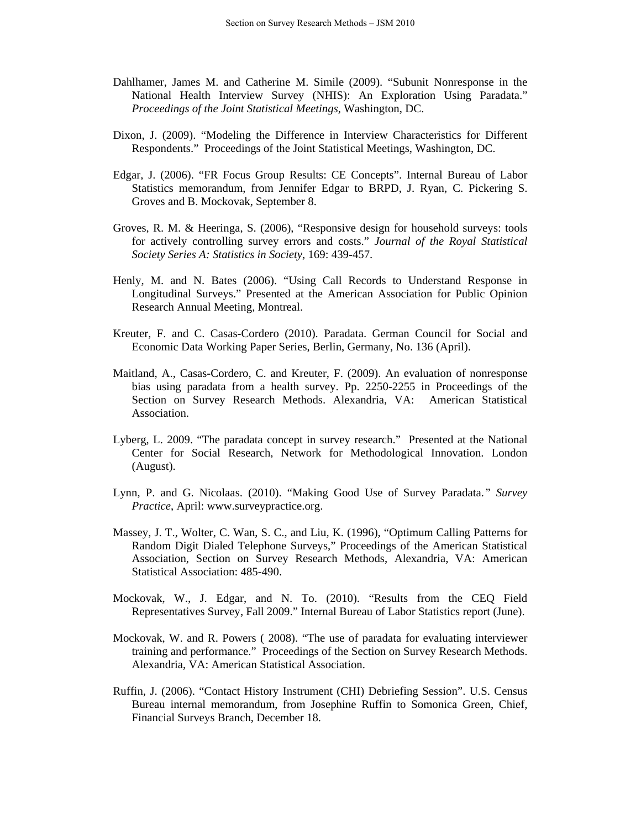- Dahlhamer, James M. and Catherine M. Simile (2009). "Subunit Nonresponse in the National Health Interview Survey (NHIS): An Exploration Using Paradata." *Proceedings of the Joint Statistical Meetings*, Washington, DC.
- Dixon, J. (2009). "Modeling the Difference in Interview Characteristics for Different Respondents." Proceedings of the Joint Statistical Meetings, Washington, DC.
- Edgar, J. (2006). "FR Focus Group Results: CE Concepts". Internal Bureau of Labor Statistics memorandum, from Jennifer Edgar to BRPD, J. Ryan, C. Pickering S. Groves and B. Mockovak, September 8.
- Groves, R. M. & Heeringa, S. (2006), "Responsive design for household surveys: tools for actively controlling survey errors and costs." *Journal of the Royal Statistical Society Series A: Statistics in Society*, 169: 439-457.
- Henly, M. and N. Bates (2006). "Using Call Records to Understand Response in Longitudinal Surveys." Presented at the American Association for Public Opinion Research Annual Meeting, Montreal.
- Kreuter, F. and C. Casas-Cordero (2010). Paradata. German Council for Social and Economic Data Working Paper Series, Berlin, Germany, No. 136 (April).
- Maitland, A., Casas-Cordero, C. and Kreuter, F. (2009). An evaluation of nonresponse bias using paradata from a health survey. Pp. 2250-2255 in Proceedings of the Section on Survey Research Methods. Alexandria, VA: American Statistical Association.
- Lyberg, L. 2009. "The paradata concept in survey research." Presented at the National Center for Social Research, Network for Methodological Innovation. London (August).
- Lynn, P. and G. Nicolaas. (2010). "Making Good Use of Survey Paradata.*" Survey Practice*, April: www.surveypractice.org.
- Massey, J. T., Wolter, C. Wan, S. C., and Liu, K. (1996), "Optimum Calling Patterns for Random Digit Dialed Telephone Surveys," Proceedings of the American Statistical Association, Section on Survey Research Methods, Alexandria, VA: American Statistical Association: 485-490.
- Mockovak, W., J. Edgar, and N. To. (2010). "Results from the CEQ Field Representatives Survey, Fall 2009." Internal Bureau of Labor Statistics report (June).
- Mockovak, W. and R. Powers ( 2008). "The use of paradata for evaluating interviewer training and performance." Proceedings of the Section on Survey Research Methods. Alexandria, VA: American Statistical Association.
- Ruffin, J. (2006). "Contact History Instrument (CHI) Debriefing Session". U.S. Census Bureau internal memorandum, from Josephine Ruffin to Somonica Green, Chief, Financial Surveys Branch, December 18.